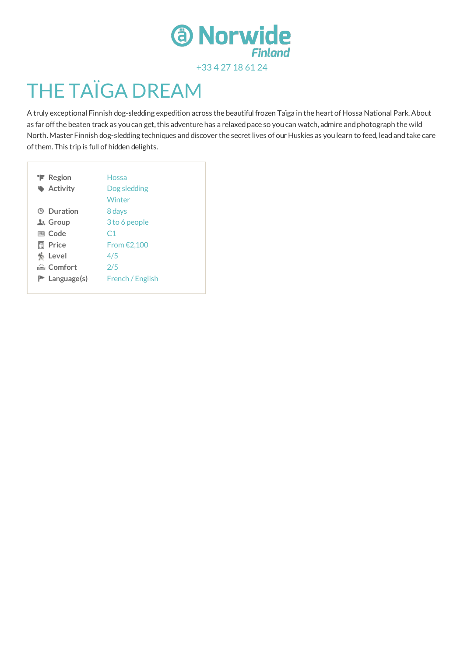

# THE TAÏGA DREAM

A truly exceptional Finnish dog-sledding expedition across the beautiful frozen Taïga in the heart of Hossa National Park.About as far off the beaten track as you can get, this adventure has a relaxed pace so you can watch, admire and photograph the wild North. Master Finnish dog-sledding techniques and discover the secret lives of our Huskies as you learn to feed, lead and take care of them. This trip is full of hidden delights.

| <b>T</b> Region   | Hossa            |
|-------------------|------------------|
| Activity          | Dog sledding     |
|                   | Winter           |
| <b>9 Duration</b> | 8 days           |
| 上 Group           | 3 to 6 people    |
| 圖 Code            | C <sub>1</sub>   |
| Price<br>圖        | From $E2,100$    |
| Level             | 4/5              |
| Comfort           | 2/5              |
| $P$ Language(s)   | French / English |
|                   |                  |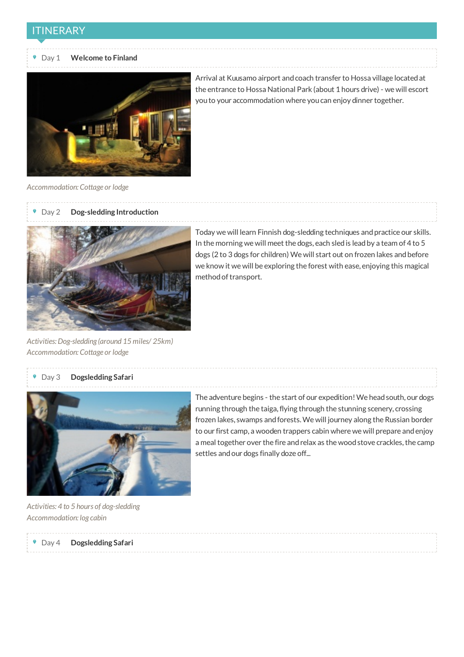#### ITINERARY

#### Day 1 **Welcome to Finland**



Arrival at Kuusamo airport andcoach transfer to Hossa village locatedat the entrance to Hossa National Park (about 1 hours drive) - we will escort youto your accommodation where youcan enjoy dinner together.

*Accommodation: Cottage or lodge*

#### Day 2 **Dog-sledding Introduction**



*Activities:Dog-sledding (around 15 miles/ 25km) Accommodation: Cottage or lodge*

#### Today we will learn Finnish dog-sledding techniques andpractice our skills. In the morning we will meet the dogs, each sledis leadby a team of 4 to 5 dogs (2 to 3 dogs for children) We will start out on frozen lakes and before we know it we will be exploring the forest with ease, enjoying this magical method of transport.

#### Day 3 **Dogsledding Safari**



The adventure begins - the start of our expedition! We head south, our dogs running through the taiga, flying through the stunning scenery, crossing frozen lakes, swamps andforests.We will journey along the Russian border to our first camp, a wooden trappers cabin where we will prepare andenjoy a meal together over the fire and relax as the wood stove crackles, the camp settles and our dogs finally doze off...

*Activities: 4 to 5 hours of dog-sledding Accommodation: log cabin*

Day 4 **Dogsledding Safari**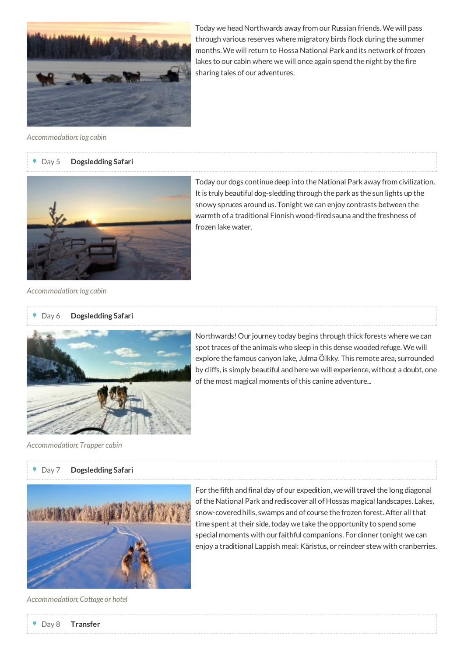

Today we head Northwards away from our Russian friends. We will pass through various reserves where migratory birds flock during the summer months.We will return to Hossa National Park andits network offrozen lakes to our cabin where we will once again spend the night by the fire sharing tales of our adventures.

*Accommodation: log cabin*

#### Day 5 **Dogsledding Safari**



Today our dogs continue deep into the National Park away from civilization. It is truly beautiful dog-sledding through the park as the sun lights up the snowy spruces aroundus. Tonight we can enjoy contrasts between the warmth of a traditional Finnish wood-fired sauna and the freshness of frozen lake water.

*Accommodation: log cabin*

#### Day 6 **Dogsledding Safari**



*Accommodation: Trapper cabin*

#### Day 7 **Dogsledding Safari**



For the fifth and final day of our expedition, we will travel the long diagonal of the National Park and rediscover all of Hossas magical landscapes. Lakes, snow-covered hills, swamps and of course the frozen forest. After all that time spent at their side, today we take the opportunity to spend some special moments with our faithful companions. For dinner tonight we can enjoy a traditional Lappish meal: Käristus, or reindeer stew with cranberries.

*Accommodation: Cottage or hotel*

Northwards! Our journey today begins through thick forests where we can spot traces of the animals who sleep in this dense wooded refuge. We will explore the famous canyon lake, Julma Ölkky. This remote area, surrounded by cliffs, is simply beautiful andhere we will experience, without a doubt, one of the most magical moments of this canine adventure...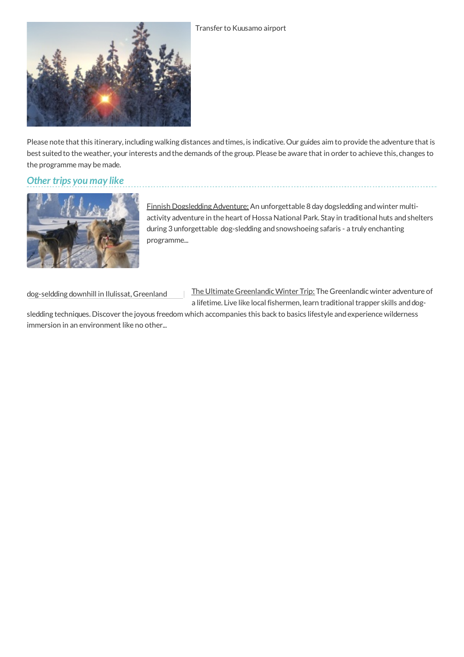

Please note that this itinerary, including walking distances and times, is indicative. Our guides aim to provide the adventure that is best suited to the weather, your interests and the demands of the group. Please be aware that in order to achieve this, changes to the programme may be made.

# *Other trips you may like*



Finnish [Dogsledding](http://norwide.com/en/trip/9/finnish-dogsledding-adventure) Adventure: An unforgettable 8 day dogsledding andwinter multiactivity adventure in the heart of Hossa National Park. Stay in traditional huts andshelters during 3 unforgettable dog-sledding andsnowshoeing safaris - a truly enchanting programme...

dog-seldding downhill in Ilulissat, Greenland

The Ultimate Greenlandic Winter Trip: The Greenlandic winter adventure of a lifetime. Live like local fishermen, learn traditional trapper skills and dog-

sledding techniques. Discover the joyous freedom which accompanies this back to basics lifestyle andexperience wilderness immersion in an environment like no other...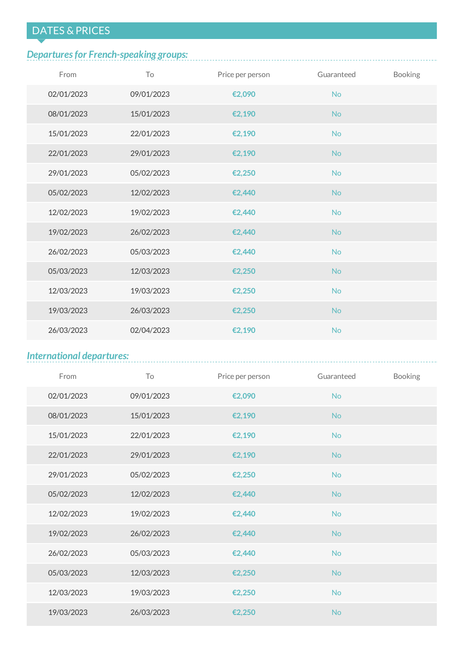# DATES & PRICES

# *Departuresfor French-speaking groups:*

| From       | To         | Price per person | Guaranteed | Booking |
|------------|------------|------------------|------------|---------|
| 02/01/2023 | 09/01/2023 | €2,090           | <b>No</b>  |         |
| 08/01/2023 | 15/01/2023 | €2,190           | <b>No</b>  |         |
| 15/01/2023 | 22/01/2023 | €2,190           | <b>No</b>  |         |
| 22/01/2023 | 29/01/2023 | €2,190           | <b>No</b>  |         |
| 29/01/2023 | 05/02/2023 | €2,250           | <b>No</b>  |         |
| 05/02/2023 | 12/02/2023 | €2,440           | <b>No</b>  |         |
| 12/02/2023 | 19/02/2023 | €2,440           | <b>No</b>  |         |
| 19/02/2023 | 26/02/2023 | €2,440           | <b>No</b>  |         |
| 26/02/2023 | 05/03/2023 | €2,440           | <b>No</b>  |         |
| 05/03/2023 | 12/03/2023 | €2,250           | <b>No</b>  |         |
| 12/03/2023 | 19/03/2023 | €2,250           | <b>No</b>  |         |
| 19/03/2023 | 26/03/2023 | €2,250           | <b>No</b>  |         |
| 26/03/2023 | 02/04/2023 | €2,190           | <b>No</b>  |         |

# *International departures:*

| From       | To         | Price per person | Guaranteed | Booking |
|------------|------------|------------------|------------|---------|
| 02/01/2023 | 09/01/2023 | €2,090           | <b>No</b>  |         |
| 08/01/2023 | 15/01/2023 | €2,190           | <b>No</b>  |         |
| 15/01/2023 | 22/01/2023 | €2,190           | <b>No</b>  |         |
| 22/01/2023 | 29/01/2023 | €2,190           | <b>No</b>  |         |
| 29/01/2023 | 05/02/2023 | €2,250           | <b>No</b>  |         |
| 05/02/2023 | 12/02/2023 | €2,440           | <b>No</b>  |         |
| 12/02/2023 | 19/02/2023 | €2,440           | <b>No</b>  |         |
| 19/02/2023 | 26/02/2023 | €2,440           | <b>No</b>  |         |
| 26/02/2023 | 05/03/2023 | €2,440           | <b>No</b>  |         |
| 05/03/2023 | 12/03/2023 | €2,250           | <b>No</b>  |         |
| 12/03/2023 | 19/03/2023 | €2,250           | <b>No</b>  |         |
| 19/03/2023 | 26/03/2023 | €2,250           | <b>No</b>  |         |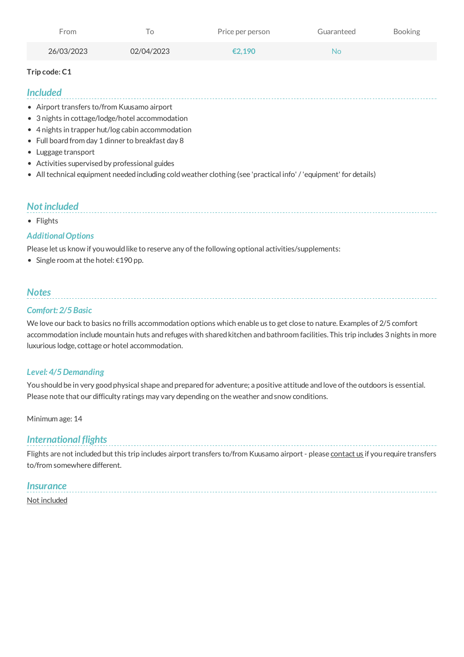| From       |            | Price per person | Guaranteed     | <b>Booking</b> |
|------------|------------|------------------|----------------|----------------|
| 26/03/2023 | 02/04/2023 | €2.190           | N <sub>O</sub> |                |

#### **Trip code: C1**

#### *Included*

- Airport transfers to/from Kuusamo airport
- 3 nights in cottage/lodge/hotel accommodation
- 4 nights in trapper hut/log cabin accommodation
- Full board from day 1 dinner to breakfast day 8
- Luggage transport
- Activities supervisedby professional guides
- All technical equipment needed including cold weather clothing (see 'practical info' / 'equipment' for details)

## *Notincluded*

• Flights

#### *AdditionalOptions*

Please let us know if you would like to reserve any of the following optional activities/supplements:

Single room at the hotel: €190 pp.

## *Notes*

#### *Comfort: 2/5Basic*

We love our back to basics no frills accommodation options which enable us to get close to nature. Examples of 2/5 comfort accommodation include mountain huts and refuges with shared kitchen and bathroom facilities. This trip includes 3 nights in more luxurious lodge, cottage or hotel accommodation.

#### *Level: 4/5Demanding*

You should be in very good physical shape and prepared for adventure; a positive attitude and love of the outdoors is essential. Please note that our difficulty ratings may vary depending on the weather and snow conditions.

Minimum age: 14

## *International flights*

Flights are not included but this trip includes airport transfers to/from Kuusamo airport - please [contact](http://norwide.com/en/contact) us if you require transfers to/from somewhere different.

#### *Insurance*

Not [included](http://norwide.com/en/insurance)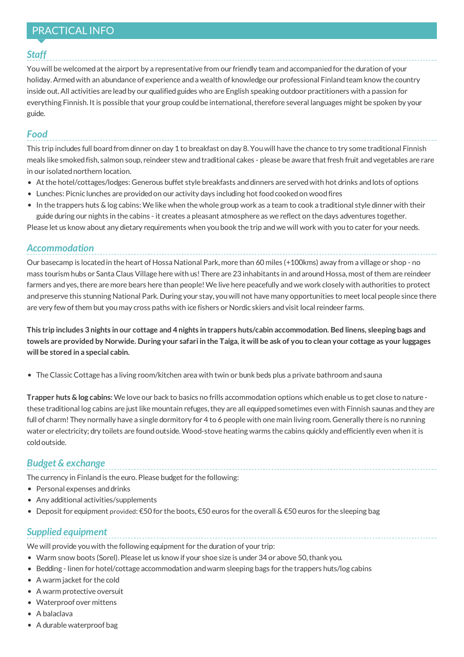# PRACTICAL INFO

#### *Staff*

Youwill be welcomedat the airport by a representative from our friendly team andaccompaniedfor the duration of your holiday. Armed with an abundance of experience and a wealth of knowledge our professional Finland team know the country inside out. All activities are lead by our qualified guides who are English speaking outdoor practitioners with a passion for everything Finnish. It is possible that your group could be international, therefore several languages might be spoken by your guide.

#### *Food*

This trip includes full boardfrom dinner on day 1 to breakfast on day 8. Youwill have the chance to try some traditional Finnish meals like smokedfish, salmon soup, reindeer stew andtraditional cakes - please be aware that fresh fruit andvegetables are rare in our isolatednorthern location.

- At the hotel/cottages/lodges: Generous buffet style breakfasts and dinners are served with hot drinks and lots of options
- Lunches: Picnic lunches are provided on our activity days including hot food cooked on wood fires
- $\bullet$  In the trappers huts & log cabins: We like when the whole group work as a team to cook a traditional style dinner with their guide during our nights in the cabins - it creates a pleasant atmosphere as we reflect on the days adventures together.

Please let us know about any dietary requirements when youbook the trip andwe will work with youto cater for your needs.

## *Accommodation*

Our basecamp is locatedin the heart of Hossa National Park, more than 60 miles (+100kms) away from a village or shop - no mass tourism hubs or Santa Claus Village here with us! There are 23 inhabitants in and around Hossa, most of them are reindeer farmers and yes, there are more bears here than people! We live here peacefully and we work closely with authorities to protect andpreserve this stunning National Park. During your stay, youwill not have many opportunities to meet local people since there are very few ofthem but you may cross paths with ice fishers or Nordic skiers andvisit local reindeer farms.

This trip includes 3 nights in our cottage and 4 nights in trappers huts/cabin accommodation. Bed linens, sleeping bags and towels are provided by Norwide. During your safari in the Taiga, it will be ask of you to clean your cottage as your luggages **will be stored in a special cabin.**

TheClassicCottage has a living room/kitchen area with twin or bunk beds plus a private bathroom andsauna

**Trapper huts & log cabins:** We love our back to basics no frills accommodation options which enable us to get close to nature these traditional log cabins are just like mountain refuges, they are all equipped sometimes even with Finnish saunas and they are full of charm! They normally have a single dormitory for 4 to 6 people with one main living room. Generally there is no running water or electricity; dry toilets are found outside. Wood-stove heating warms the cabins quickly and efficiently even when it is coldoutside.

## *Budget & exchange*

The currency in Finland is the euro. Please budget for the following:

- Personal expenses and drinks
- Any additional activities/supplements
- Deposit for equipment provided: €50 for the boots, €50 euros for the overall & €50 euros for the sleeping bag

## *Supplied equipment*

We will provide youwith the following equipment for the duration of your trip:

- Warm snow boots (Sorel). Please let us know if your shoe size is under 34 or above 50,thank you.
- Bedding linen for hotel/cottage accommodation andwarm sleeping bags for the trappers huts/log cabins
- A warm jacket for the cold
- A warm protective oversuit
- Waterproof over mittens
- A balaclava
- A durable waterproof bag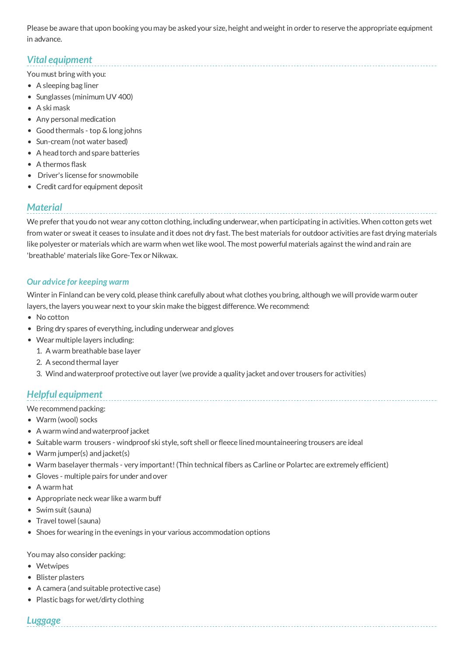Please be aware that upon booking you may be askedyour size, height andweight in order to reserve the appropriate equipment in advance.

# *Vital equipment*

You must bring with you:

- A sleeping bag liner
- Sunglasses (minimum UV 400)
- A ski mask
- Any personal medication
- Goodthermals top & long johns
- Sun-cream (not water based)
- A head torch and spare batteries
- A thermos flask
- Driver's license for snowmobile
- Credit card for equipment deposit

## *Material*

We prefer that youdo not wear any cotton clothing, including underwear, when participating in activities.When cotton gets wet from water or sweat it ceases to insulate and it does not dry fast. The best materials for outdoor activities are fast drying materials like polyester or materials which are warm when wet like wool. The most powerful materials against the wind and rain are 'breathable' materials like Gore-Tex or Nikwax.

#### *Our advice for keeping warm*

Winter in Finlandcan be very cold, please think carefully about what clothes youbring, although we will provide warm outer layers, the layers you wear next to your skin make the biggest difference. We recommend:

- No cotton
- Bring dry spares of everything, including underwear and gloves
- Wear multiple layers including:
	- 1. A warm breathable base layer
	- 2. A second thermal layer
	- 3. Windandwaterproof protective out layer (we provide a quality jacket andover trousers for activities)

## *Helpful equipment*

We recommend packing:

- Warm (wool) socks
- A warm wind and waterproof jacket
- Suitable warm trousers windproof ski style, soft shell or fleece linedmountaineering trousers are ideal
- Warm jumper(s) and jacket(s)
- Warm baselayer thermals very important!(Thin technical fibers as Carline or Polartec are extremely efficient)
- Gloves multiple pairs for under andover
- A warm hat
- Appropriate neck wear like a warm buff
- Swim suit (sauna)
- Travel towel (sauna)
- Shoes for wearing in the evenings in your various accommodation options

You may also consider packing:

- Wetwipes
- Blister plasters
- A camera (andsuitable protective case)
- Plastic bags for wet/dirty clothing

## *Luggage*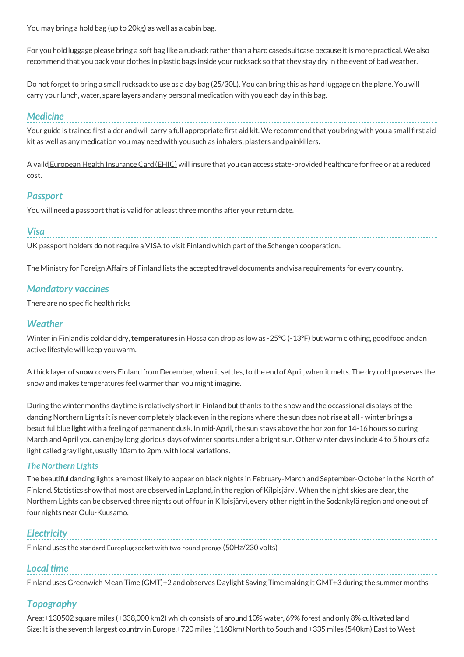You may bring a holdbag (up to 20kg) as well as a cabin bag.

For youholdluggage please bring a soft bag like a ruckack rather than a hardcasedsuitcase because it is more practical.We also recommendthat youpack your clothes in plastic bags inside your rucksack so that they stay dry in the event of badweather.

Do not forget to bring a small rucksack to use as a day bag (25/30L). Youcan bring this as handluggage on the plane. Youwill carry your lunch, water, spare layers andany personal medication with youeach day in this bag.

#### *Medicine*

Your guide is trained first aider and will carry a full appropriate first aid kit. We recommend that you bring with you a small first aid kit as well as any medication you may needwith yousuch as inhalers, plasters andpainkillers.

A vaild European Health Insurance Card (EHIC) will insure that you can access state-provided healthcare for free or at a reduced cost.

## *Passport*

You will need a passport that is valid for at least three months after your return date.

#### *Visa*

UK passport holders do not require a VISA to visit Finland which part of the Schengen cooperation.

The [Ministry](http://formin.finland.fi/public/default.aspx?nodeid=15720&contentlan=2) for Foreign Affairs of Finland lists the accepted travel documents and visa requirements for every country.

## *Mandatory vaccines*

There are no specific health risks

#### *Weather*

Winter in Finlandis coldanddry,**temperatures** in Hossa can drop as low as -25°C (-13°F) but warm clothing, goodfoodandan active lifestyle will keep youwarm.

A thick layer of snow covers Finland from December, when it settles, to the end of April, when it melts. The dry cold preserves the snow andmakes temperatures feel warmer than you might imagine.

During the winter months daytime is relatively short in Finland but thanks to the snow and the occassional displays of the dancing Northern Lights it is never completely black even in the regions where the sun does not rise at all - winter brings a beautiful blue **light** with a feeling of permanent dusk. In mid-April, the sun stays above the horizon for 14-16 hours so during March andApril youcan enjoy long glorious days of winter sports under a bright sun. Other winter days include 4 to 5 hours of a light calledgray light, usually 10am to 2pm, with local variations.

#### *The Northern Lights*

The beautiful dancing lights are most likely to appear on black nights in February-March and September-October in the North of Finland. Statistics show that most are observed in Lapland, in the region of Kilpisjärvi. When the night skies are clear, the Northern Lights can be observed three nights out of four in Kilpisjärvi, every other night in the Sodankylä region and one out of four nights near Oulu-Kuusamo.

## *Electricity*

Finlanduses the standard Europlug socket with two round prongs (50Hz/230 volts)

## *Local time*

Finlanduses Greenwich Mean Time (GMT)+2 andobserves Daylight Saving Time making it GMT+3 during the summer months

## *Topography*

Area:+130502 square miles (+338,000 km2) which consists of around 10% water, 69% forest and only 8% cultivated land Size: It is the seventh largest country in Europe,+720 miles (1160km) North to South and+335 miles (540km) East to West